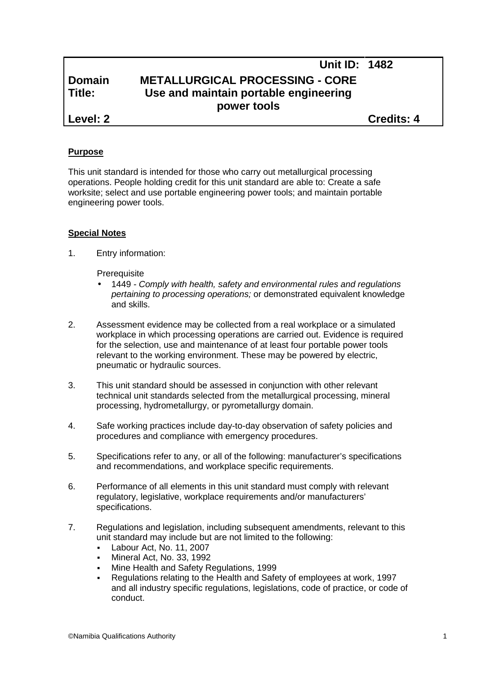# **Unit ID: 1482 Domain METALLURGICAL PROCESSING - CORE Title: Use and maintain portable engineering power tools Level: 2 Credits: 4**

### **Purpose**

This unit standard is intended for those who carry out metallurgical processing operations. People holding credit for this unit standard are able to: Create a safe worksite; select and use portable engineering power tools; and maintain portable engineering power tools.

# **Special Notes**

1. Entry information:

**Prerequisite** 

- 1449 *- Comply with health, safety and environmental rules and regulations pertaining to processing operations;* or demonstrated equivalent knowledge and skills.
- 2. Assessment evidence may be collected from a real workplace or a simulated workplace in which processing operations are carried out. Evidence is required for the selection, use and maintenance of at least four portable power tools relevant to the working environment. These may be powered by electric, pneumatic or hydraulic sources.
- 3. This unit standard should be assessed in conjunction with other relevant technical unit standards selected from the metallurgical processing, mineral processing, hydrometallurgy, or pyrometallurgy domain.
- 4. Safe working practices include day-to-day observation of safety policies and procedures and compliance with emergency procedures.
- 5. Specifications refer to any, or all of the following: manufacturer's specifications and recommendations, and workplace specific requirements.
- 6. Performance of all elements in this unit standard must comply with relevant regulatory, legislative, workplace requirements and/or manufacturers' specifications.
- 7. Regulations and legislation, including subsequent amendments, relevant to this unit standard may include but are not limited to the following:
	- Labour Act, No. 11, 2007
	- Mineral Act, No. 33, 1992
	- Mine Health and Safety Regulations, 1999
	- Regulations relating to the Health and Safety of employees at work, 1997 and all industry specific regulations, legislations, code of practice, or code of conduct.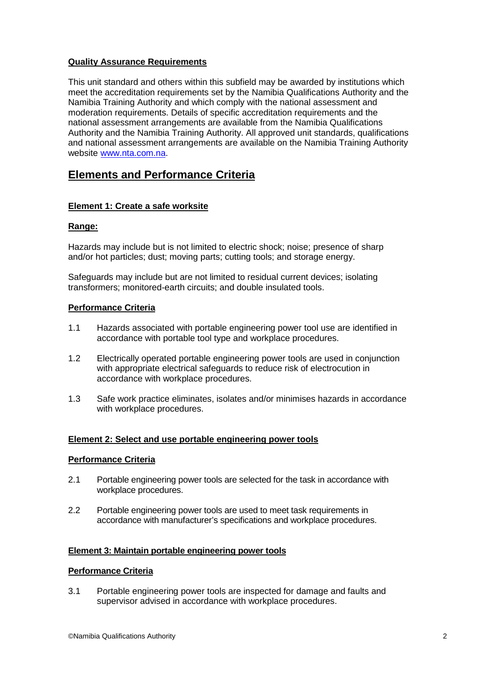# **Quality Assurance Requirements**

This unit standard and others within this subfield may be awarded by institutions which meet the accreditation requirements set by the Namibia Qualifications Authority and the Namibia Training Authority and which comply with the national assessment and moderation requirements. Details of specific accreditation requirements and the national assessment arrangements are available from the Namibia Qualifications Authority and the Namibia Training Authority. All approved unit standards, qualifications and national assessment arrangements are available on the Namibia Training Authority website www.nta.com.na.

# **Elements and Performance Criteria**

# **Element 1: Create a safe worksite**

#### **Range:**

Hazards may include but is not limited to electric shock; noise; presence of sharp and/or hot particles; dust; moving parts; cutting tools; and storage energy.

Safeguards may include but are not limited to residual current devices; isolating transformers; monitored-earth circuits; and double insulated tools.

#### **Performance Criteria**

- 1.1 Hazards associated with portable engineering power tool use are identified in accordance with portable tool type and workplace procedures.
- 1.2 Electrically operated portable engineering power tools are used in conjunction with appropriate electrical safeguards to reduce risk of electrocution in accordance with workplace procedures.
- 1.3 Safe work practice eliminates, isolates and/or minimises hazards in accordance with workplace procedures.

#### **Element 2: Select and use portable engineering power tools**

#### **Performance Criteria**

- 2.1 Portable engineering power tools are selected for the task in accordance with workplace procedures.
- 2.2 Portable engineering power tools are used to meet task requirements in accordance with manufacturer's specifications and workplace procedures.

#### **Element 3: Maintain portable engineering power tools**

#### **Performance Criteria**

3.1 Portable engineering power tools are inspected for damage and faults and supervisor advised in accordance with workplace procedures.